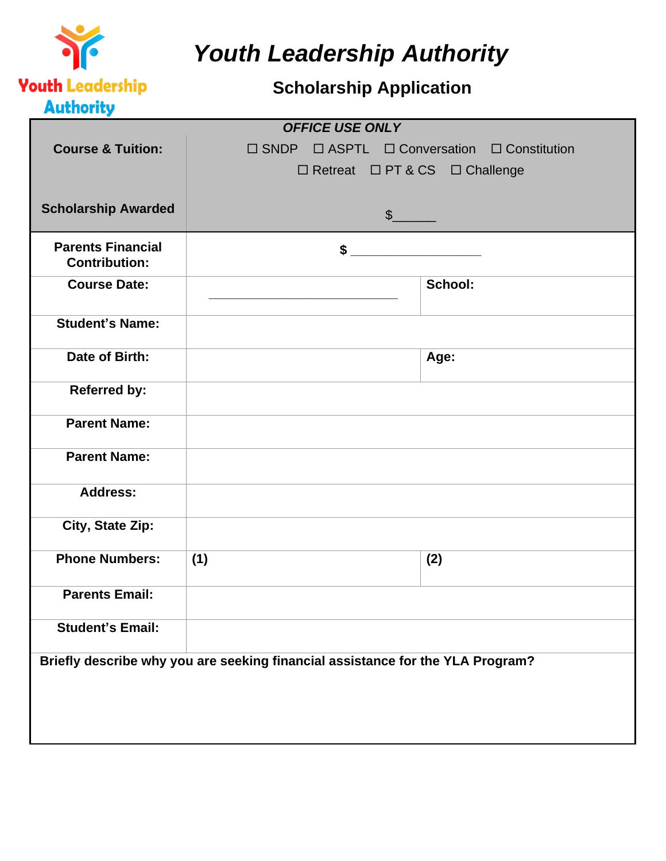

*Youth Leadership Authority*

## **Scholarship Application**

|                              | <b>OFFICE USE ONLY</b>                                                         |         |  |
|------------------------------|--------------------------------------------------------------------------------|---------|--|
| <b>Course &amp; Tuition:</b> | $\Box$ SNDP $\Box$ ASPTL $\Box$ Conversation $\Box$ Constitution               |         |  |
|                              | □ Retreat □ PT & CS □ Challenge                                                |         |  |
|                              |                                                                                |         |  |
|                              |                                                                                |         |  |
| <b>Scholarship Awarded</b>   | $\frac{1}{2}$                                                                  |         |  |
|                              |                                                                                |         |  |
| <b>Parents Financial</b>     | \$                                                                             |         |  |
| <b>Contribution:</b>         |                                                                                |         |  |
| <b>Course Date:</b>          |                                                                                | School: |  |
|                              |                                                                                |         |  |
| <b>Student's Name:</b>       |                                                                                |         |  |
|                              |                                                                                |         |  |
| Date of Birth:               |                                                                                | Age:    |  |
|                              |                                                                                |         |  |
| <b>Referred by:</b>          |                                                                                |         |  |
|                              |                                                                                |         |  |
| <b>Parent Name:</b>          |                                                                                |         |  |
|                              |                                                                                |         |  |
| <b>Parent Name:</b>          |                                                                                |         |  |
|                              |                                                                                |         |  |
| <b>Address:</b>              |                                                                                |         |  |
|                              |                                                                                |         |  |
| City, State Zip:             |                                                                                |         |  |
|                              |                                                                                |         |  |
| <b>Phone Numbers:</b>        | (1)                                                                            | (2)     |  |
|                              |                                                                                |         |  |
| <b>Parents Email:</b>        |                                                                                |         |  |
| <b>Student's Email:</b>      |                                                                                |         |  |
|                              |                                                                                |         |  |
|                              | Briefly describe why you are seeking financial assistance for the YLA Program? |         |  |
|                              |                                                                                |         |  |
|                              |                                                                                |         |  |
|                              |                                                                                |         |  |
|                              |                                                                                |         |  |
|                              |                                                                                |         |  |